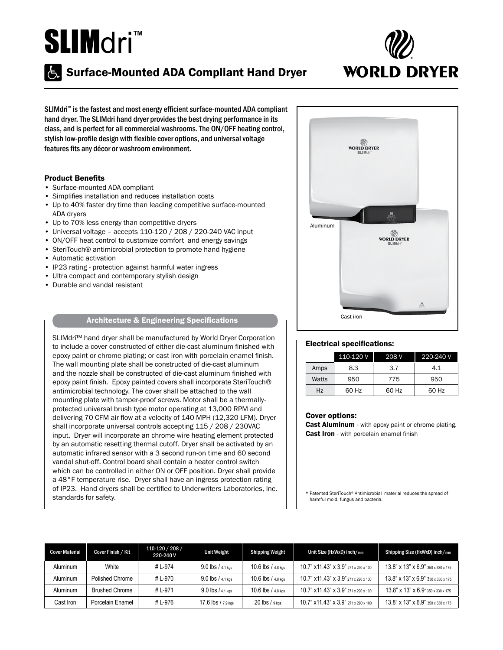## SLIMdri<sup>™</sup>

# **WORLD DRYER**

### **Surface-Mounted ADA Compliant Hand Dryer**

SLIMdri™ is the fastest and most energy efficient surface-mounted ADA compliant hand dryer. The SLIMdri hand dryer provides the best drying performance in its class, and is perfect for all commercial washrooms. The ON/OFF heating control, stylish low-profile design with flexible cover options, and universal voltage features fits any décor or washroom environment.

#### Product Benefits

- Surface-mounted ADA compliant
- Simplifies installation and reduces installation costs
- Up to 40% faster dry time than leading competitive surface-mounted ADA dryers
- Up to 70% less energy than competitive dryers
- Universal voltage accepts 110-120 / 208 / 220-240 VAC input
- ON/OFF heat control to customize comfort and energy savings
- SteriTouch® antimicrobial protection to promote hand hygiene
- Automatic activation
- IP23 rating protection against harmful water ingress
- Ultra compact and contemporary stylish design
- Durable and vandal resistant

#### Architecture & Engineering Specifications

SLIMdri<sup>™</sup> hand dryer shall be manufactured by World Dryer Corporation to include a cover constructed of either die-cast aluminum finished with epoxy paint or chrome plating; or cast iron with porcelain enamel finish. The wall mounting plate shall be constructed of die-cast aluminum and the nozzle shall be constructed of die-cast aluminum finished with epoxy paint finish. Epoxy painted covers shall incorporate SteriTouch® antimicrobial technology. The cover shall be attached to the wall mounting plate with tamper-proof screws. Motor shall be a thermallyprotected universal brush type motor operating at 13,000 RPM and delivering 70 CFM air flow at a velocity of 140 MPH (12,320 LFM). Dryer shall incorporate universal controls accepting 115 / 208 / 230VAC input. Dryer will incorporate an chrome wire heating element protected by an automatic resetting thermal cutoff. Dryer shall be activated by an automatic infrared sensor with a 3 second run-on time and 60 second vandal shut-off. Control board shall contain a heater control switch which can be controlled in either ON or OFF position. Dryer shall provide a 48°F temperature rise. Dryer shall have an ingress protection rating of IP23. Hand dryers shall be certified to Underwriters Laboratories, Inc. standards for safety.



#### Electrical specifications:

|       | $110-120V$ | 208 V | 220-240 V |
|-------|------------|-------|-----------|
| Amps  | 8.3        | 3.7   | 4.1       |
| Watts | 950        | 775   | 950       |
| Hz    | 60 Hz      | 60 Hz | 60 Hz     |

#### Cover options:

Cast Aluminum - with epoxy paint or chrome plating. **Cast Iron** - with porcelain enamel finish

Patented SteriTouch® Antimicrobial material reduces the spread of harmful mold, fungus and bacteria.

| <b>Cover Material</b> | Cover Finish / Kit    | 110-120 / 208 /<br>220-240 V | <b>Unit Weight</b>    | <b>Shipping Weight</b> | Unit Size (HxWxD) inch/mm                                          | Shipping Size (HxWxD) inch/mm                        |
|-----------------------|-----------------------|------------------------------|-----------------------|------------------------|--------------------------------------------------------------------|------------------------------------------------------|
| Aluminum              | White                 | #L-974                       | $9.0$ lbs / $4.1$ kgs | $10.6$ lbs $/ 4.8$ kgs | $10.7$ " $\times$ 11.43" $\times$ 3.9" $271 \times 290 \times 100$ | $13.8"$ x $13"$ x $6.9"$ 350 x 330 x 175             |
| Aluminum              | Polished Chrome       | # L-970                      | $9.0$ lbs / $4.1$ kgs | $10.6$ lbs $/ 4.8$ kgs | $10.7$ " x 11.43" x 3.9" $271 \times 290 \times 100$               | $13.8"$ x $13"$ x $6.9"$ $350 \times 330 \times 175$ |
| Aluminum              | <b>Brushed Chrome</b> | #L-971                       | $9.0$ lbs $/4.1$ kgs  | $10.6$ lbs $/ 4.8$ kgs | $10.7$ " $\times$ 11.43" $\times$ 3.9" $271 \times 290 \times 100$ | $13.8"$ x $13"$ x $6.9"$ 350 x 330 x 175             |
| Cast Iron             | Porcelain Enamel      | # L-976                      | 17.6 lbs / 7.9 kgs    | $20$ lbs / $9$ kgs     | $10.7$ " $\times$ 11.43" $\times$ 3.9" $271 \times 290 \times 100$ | $13.8"$ x $13"$ x $6.9"$ $350 \times 330 \times 175$ |